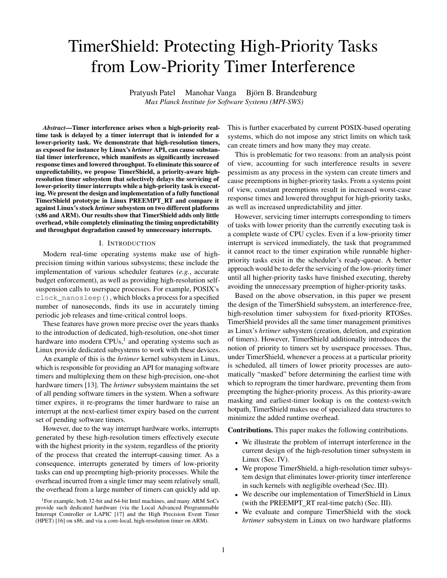# TimerShield: Protecting High-Priority Tasks from Low-Priority Timer Interference

Pratyush Patel Manohar Vanga Björn B. Brandenburg *Max Planck Institute for Software Systems (MPI-SWS)*

*Abstract*—Timer interference arises when a high-priority realtime task is delayed by a timer interrupt that is intended for a lower-priority task. We demonstrate that high-resolution timers, as exposed for instance by Linux's *hrtimer* API, can cause substantial timer interference, which manifests as significantly increased response times and lowered throughput. To eliminate this source of unpredictability, we propose TimerShield, a priority-aware highresolution timer subsystem that selectively delays the servicing of lower-priority timer interrupts while a high-priority task is executing. We present the design and implementation of a fully functional TimerShield prototype in Linux PREEMPT\_RT and compare it against Linux's stock *hrtimer*subsystem on two different platforms (x86 and ARM). Our results show that TimerShield adds only little overhead, while completely eliminating the timing unpredictability and throughput degradation caused by unnecessary interrupts.

#### I. INTRODUCTION

Modern real-time operating systems make use of highprecision timing within various subsystems; these include the implementation of various scheduler features (*e.g.*, accurate budget enforcement), as well as providing high-resolution selfsuspension calls to userspace processes. For example, POSIX's clock\_nanosleep(), which blocks a process for a specified number of nanoseconds, finds its use in accurately timing periodic job releases and time-critical control loops.

These features have grown more precise over the years thanks to the introduction of dedicated, high-resolution, one-shot timer hardware into modern  $CPUs$ ,<sup>[1](#page-0-0)</sup> and operating systems such as Linux provide dedicated subsystems to work with these devices.

An example of this is the *hrtimer* kernel subsystem in Linux, which is responsible for providing an API for managing software timers and multiplexing them on these high-precision, one-shot hardware timers [\[13\]](#page-9-0). The *hrtimer* subsystem maintains the set of all pending software timers in the system. When a software timer expires, it re-programs the timer hardware to raise an interrupt at the next-earliest timer expiry based on the current set of pending software timers.

However, due to the way interrupt hardware works, interrupts generated by these high-resolution timers effectively execute with the highest priority in the system, regardless of the priority of the process that created the interrupt-causing timer. As a consequence, interrupts generated by timers of low-priority tasks can end up preempting high-priority processes. While the overhead incurred from a single timer may seem relatively small, the overhead from a large number of timers can quickly add up. This is further exacerbated by current POSIX-based operating systems, which do not impose any strict limits on which task can create timers and how many they may create.

This is problematic for two reasons: from an analysis point of view, accounting for such interference results in severe pessimism as any process in the system can create timers and cause preemptions in higher-priority tasks. From a systems point of view, constant preemptions result in increased worst-case response times and lowered throughput for high-priority tasks, as well as increased unpredictability and jitter.

However, servicing timer interrupts corresponding to timers of tasks with lower priority than the currently executing task is a complete waste of CPU cycles. Even if a low-priority timer interrupt is serviced immediately, the task that programmed it cannot react to the timer expiration while runnable higherpriority tasks exist in the scheduler's ready-queue. A better approach would be to defer the servicing of the low-priority timer until all higher-priority tasks have finished executing, thereby avoiding the unnecessary preemption of higher-priority tasks.

Based on the above observation, in this paper we present the design of the TimerShield subsystem, an interference-free, high-resolution timer subsystem for fixed-priority RTOSes. TimerShield provides all the same timer management primitives as Linux's *hrtimer* subsystem (creation, deletion, and expiration of timers). However, TimerShield additionally introduces the notion of priority to timers set by userspace processes. Thus, under TimerShield, whenever a process at a particular priority is scheduled, all timers of lower priority processes are automatically "masked" before determining the earliest time with which to reprogram the timer hardware, preventing them from preempting the higher-priority process. As this priority-aware masking and earliest-timer lookup is on the context-switch hotpath, TimerShield makes use of specialized data structures to minimize the added runtime overhead.

Contributions. This paper makes the following contributions.

- We illustrate the problem of interrupt interference in the current design of the high-resolution timer subsystem in Linux (Sec. [IV\)](#page-3-0).
- We propose TimerShield, a high-resolution timer subsystem design that eliminates lower-priority timer interference in such kernels with negligible overhead (Sec. [III\)](#page-1-0).
- We describe our implementation of TimerShield in Linux (with the PREEMPT RT real-time patch) (Sec. [III\)](#page-1-0).
- We evaluate and compare TimerShield with the stock *hrtimer* subsystem in Linux on two hardware platforms

<span id="page-0-0"></span><sup>&</sup>lt;sup>1</sup>For example, both 32-bit and 64-bit Intel machines, and many ARM SoCs provide such dedicated hardware (via the Local Advanced Programmable Interrupt Controller or LAPIC [\[17\]](#page-9-1) and the High Precision Event Timer (HPET) [\[16\]](#page-9-2) on x86, and via a core-local, high-resolution timer on ARM).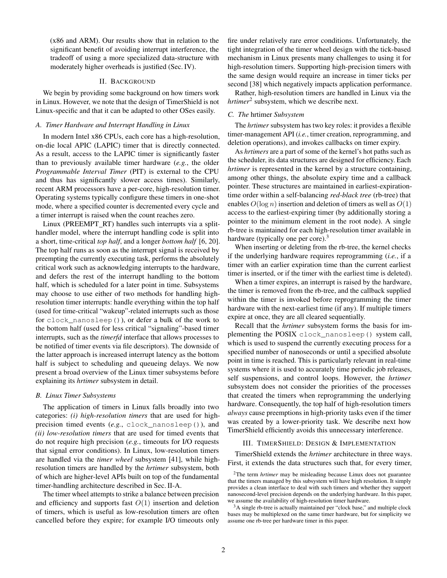(x86 and ARM). Our results show that in relation to the significant benefit of avoiding interrupt interference, the tradeoff of using a more specialized data-structure with moderately higher overheads is justified (Sec. [IV\)](#page-3-0).

#### II. BACKGROUND

We begin by providing some background on how timers work in Linux. However, we note that the design of TimerShield is not Linux-specific and that it can be adapted to other OSes easily.

## <span id="page-1-1"></span>*A. Timer Hardware and Interrupt Handling in Linux*

In modern Intel x86 CPUs, each core has a high-resolution, on-die local APIC (LAPIC) timer that is directly connected. As a result, access to the LAPIC timer is significantly faster than to previously available timer hardware (*e.g.*, the older *Programmable Interval Timer* (PIT) is external to the CPU and thus has significantly slower access times). Similarly, recent ARM processors have a per-core, high-resolution timer. Operating systems typically configure these timers in one-shot mode, where a specified counter is decremented every cycle and a timer interrupt is raised when the count reaches zero.

Linux (PREEMPT\_RT) handles such interrupts via a splithandler model, where the interrupt handling code is split into a short, time-critical *top half*, and a longer *bottom half* [\[6,](#page-9-3) [20\]](#page-9-4). The top half runs as soon as the interrupt signal is received by preempting the currently executing task, performs the absolutely critical work such as acknowledging interrupts to the hardware, and defers the rest of the interrupt handling to the bottom half, which is scheduled for a later point in time. Subsystems may choose to use either of two methods for handling highresolution timer interrupts: handle everything within the top half (used for time-critical "wakeup"-related interrupts such as those for clock\_nanosleep()), or defer a bulk of the work to the bottom half (used for less critical "signaling"-based timer interrupts, such as the *timerfd* interface that allows processes to be notified of timer events via file descriptors). The downside of the latter approach is increased interrupt latency as the bottom half is subject to scheduling and queueing delays. We now present a broad overview of the Linux timer subsystems before explaining its *hrtimer* subsystem in detail.

#### *B. Linux Timer Subsystems*

The application of timers in Linux falls broadly into two categories: *(i) high-resolution timers* that are used for highprecision timed events (*e.g.*, clock\_nanosleep()), and *(ii) low-resolution timers* that are used for timed events that do not require high precision (*e.g.*, timeouts for I/O requests that signal error conditions). In Linux, low-resolution timers are handled via the *timer wheel* subsystem [\[41\]](#page-9-5), while highresolution timers are handled by the *hrtimer* subsystem, both of which are higher-level APIs built on top of the fundamental timer-handling architecture described in Sec. [II-A.](#page-1-1)

The timer wheel attempts to strike a balance between precision and efficiency and supports fast  $O(1)$  insertion and deletion of timers, which is useful as low-resolution timers are often cancelled before they expire; for example I/O timeouts only fire under relatively rare error conditions. Unfortunately, the tight integration of the timer wheel design with the tick-based mechanism in Linux presents many challenges to using it for high-resolution timers. Supporting high-precision timers with the same design would require an increase in timer ticks per second [\[38\]](#page-9-6) which negatively impacts application performance.

Rather, high-resolution timers are handled in Linux via the *hrtimer*[2](#page-1-2) subsystem, which we describe next.

#### *C. The* hrtimer *Subsystem*

The *hrtimer* subsystem has two key roles: it provides a flexible timer-management API (*i.e.*, timer creation, reprogramming, and deletion operations), and invokes callbacks on timer expiry.

As *hrtimers* are a part of some of the kernel's hot paths such as the scheduler, its data structures are designed for efficiency. Each *hrtimer* is represented in the kernel by a structure containing, among other things, the absolute expiry time and a callback pointer. These structures are maintained in earliest-expirationtime order within a self-balancing *red-black tree* (rb-tree) that enables  $O(\log n)$  insertion and deletion of timers as well as  $O(1)$ access to the earliest-expiring timer (by additionally storing a pointer to the minimum element in the root node). A single rb-tree is maintained for each high-resolution timer available in hardware (typically one per core). $3$ 

When inserting or deleting from the rb-tree, the kernel checks if the underlying hardware requires reprogramming (*i.e.*, if a timer with an earlier expiration time than the current earliest timer is inserted, or if the timer with the earliest time is deleted).

When a timer expires, an interrupt is raised by the hardware, the timer is removed from the rb-tree, and the callback supplied within the timer is invoked before reprogramming the timer hardware with the next-earliest time (if any). If multiple timers expire at once, they are all cleared sequentially.

Recall that the *hrtimer* subsystem forms the basis for implementing the POSIX clock\_nanosleep() system call, which is used to suspend the currently executing process for a specified number of nanoseconds or until a specified absolute point in time is reached. This is particularly relevant in real-time systems where it is used to accurately time periodic job releases, self suspensions, and control loops. However, the *hrtimer* subsystem does not consider the priorities of the processes that created the timers when reprogramming the underlying hardware. Consequently, the top half of high-resolution timers *always* cause preemptions in high-priority tasks even if the timer was created by a lower-priority task. We describe next how TimerShield efficiently avoids this unnecessary interference.

#### III. TIMERSHIELD: DESIGN & IMPLEMENTATION

<span id="page-1-0"></span>TimerShield extends the *hrtimer* architecture in three ways. First, it extends the data structures such that, for every timer,

<span id="page-1-2"></span><sup>2</sup>The term *hrtimer* may be misleading because Linux does not guarantee that the timers managed by this subsystem will have high resolution. It simply provides a clean interface to deal with such timers and whether they support nanosecond-level precision depends on the underlying hardware. In this paper, we assume the availability of high-resolution timer hardware.

<span id="page-1-3"></span><sup>&</sup>lt;sup>3</sup>A single rb-tree is actually maintained per "clock base," and multiple clock bases may be multiplexed on the same timer hardware, but for simplicity we assume one rb-tree per hardware timer in this paper.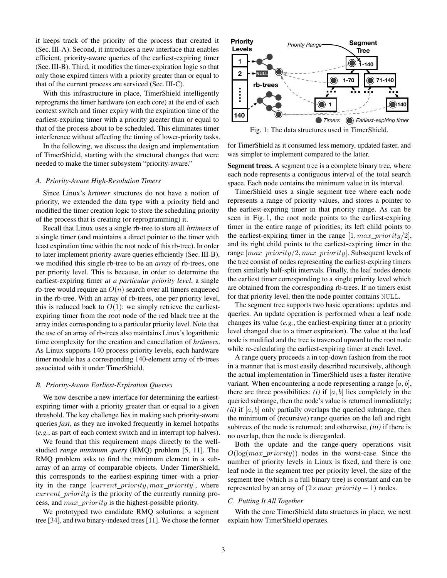it keeps track of the priority of the process that created it (Sec.[III-A\)](#page-2-0). Second, it introduces a new interface that enables efficient, priority-aware queries of the earliest-expiring timer (Sec. [III-B\)](#page-2-1). Third, it modifies the timer-expiration logic so that only those expired timers with a priority greater than or equal to that of the current process are serviced (Sec. [III-C\)](#page-2-2).

With this infrastructure in place, TimerShield intelligently reprograms the timer hardware (on each core) at the end of each context switch and timer expiry with the expiration time of the earliest-expiring timer with a priority greater than or equal to that of the process about to be scheduled. This eliminates timer interference without affecting the timing of lower-priority tasks.

In the following, we discuss the design and implementation of TimerShield, starting with the structural changes that were needed to make the timer subsystem "priority-aware."

## <span id="page-2-0"></span>*A. Priority-Aware High-Resolution Timers*

Since Linux's *hrtimer* structures do not have a notion of priority, we extended the data type with a priority field and modified the timer creation logic to store the scheduling priority of the process that is creating (or reprogramming) it.

Recall that Linux uses a single rb-tree to store all *hrtimers* of a single timer (and maintains a direct pointer to the timer with least expiration time within the root node of this rb-tree). In order to later implement priority-aware queries efficiently (Sec. [III-B\)](#page-2-1), we modified this single rb-tree to be an *array* of rb-trees, one per priority level. This is because, in order to determine the earliest-expiring timer *at a particular priority level*, a single rb-tree would require an  $O(n)$  search over all timers enqueued in the rb-tree. With an array of rb-trees, one per priority level, this is reduced back to  $O(1)$ : we simply retrieve the earliestexpiring timer from the root node of the red black tree at the array index corresponding to a particular priority level. Note that the use of an array of rb-trees also maintains Linux's logarithmic time complexity for the creation and cancellation of *hrtimers*. As Linux supports 140 process priority levels, each hardware timer module has a corresponding 140-element array of rb-trees associated with it under TimerShield.

### <span id="page-2-1"></span>*B. Priority-Aware Earliest-Expiration Queries*

We now describe a new interface for determining the earliestexpiring timer with a priority greater than or equal to a given threshold. The key challenge lies in making such priority-aware queries *fast*, as they are invoked frequently in kernel hotpaths (*e.g.*, as part of each context switch and in interrupt top halves).

We found that this requirement maps directly to the wellstudied *range minimum query* (RMQ) problem [\[5,](#page-9-7) [11\]](#page-9-8). The RMQ problem asks to find the minimum element in a subarray of an array of comparable objects. Under TimerShield, this corresponds to the earliest-expiring timer with a priority in the range  $[current\_priority, max\_priority]$ , where current\_priority is the priority of the currently running process, and *max\_priority* is the highest-possible priority.

We prototyped two candidate RMQ solutions: a segment tree [\[34\]](#page-9-9), and two binary-indexed trees [\[11\]](#page-9-8). We chose the former

<span id="page-2-3"></span>

Fig. 1: The data structures used in TimerShield.

for TimerShield as it consumed less memory, updated faster, and was simpler to implement compared to the latter.

Segment trees. A segment tree is a complete binary tree, where each node represents a contiguous interval of the total search space. Each node contains the minimum value in its interval.

TimerShield uses a single segment tree where each node represents a range of priority values, and stores a pointer to the earliest-expiring timer in that priority range. As can be seen in Fig. [1,](#page-2-3) the root node points to the earliest-expiring timer in the entire range of priorities; its left child points to the earliest-expiring timer in the range  $[1, max\_priority/2]$ , and its right child points to the earliest-expiring timer in the range  $\left[\max\_priority/2, \max\_priority$ . Subsequent levels of the tree consist of nodes representing the earliest-expiring timers from similarly half-split intervals. Finally, the leaf nodes denote the earliest timer corresponding to a single priority level which are obtained from the corresponding rb-trees. If no timers exist for that priority level, then the node pointer contains NULL.

The segment tree supports two basic operations: updates and queries. An update operation is performed when a leaf node changes its value (*e.g.*, the earliest-expiring timer at a priority level changed due to a timer expiration). The value at the leaf node is modified and the tree is traversed upward to the root node while re-calculating the earliest-expiring timer at each level.

A range query proceeds a in top-down fashion from the root in a manner that is most easily described recursively, although the actual implementation in TimerShield uses a faster iterative variant. When encountering a node representing a range  $[a, b]$ , there are three possibilities:  $(i)$  if  $[a, b]$  lies completely in the queried subrange, then the node's value is returned immediately; *(ii)* if  $[a, b]$  only partially overlaps the queried subrange, then the minimum of (recursive) range queries on the left and right subtrees of the node is returned; and otherwise, *(iii)* if there is no overlap, then the node is disregarded.

Both the update and the range-query operations visit  $O(log(max\_priority))$  nodes in the worst-case. Since the number of priority levels in Linux is fixed, and there is one leaf node in the segment tree per priority level, the size of the segment tree (which is a full binary tree) is constant and can be represented by an array of  $(2 \times max\_priority - 1)$  nodes.

## <span id="page-2-2"></span>*C. Putting It All Together*

With the core TimerShield data structures in place, we next explain how TimerShield operates.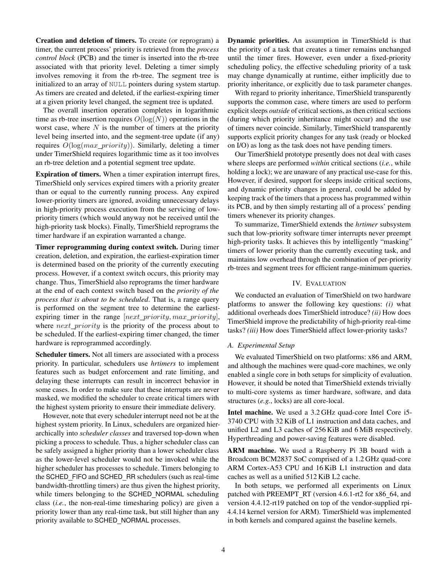Creation and deletion of timers. To create (or reprogram) a timer, the current process' priority is retrieved from the *process control block* (PCB) and the timer is inserted into the rb-tree associated with that priority level. Deleting a timer simply involves removing it from the rb-tree. The segment tree is initialized to an array of NULL pointers during system startup. As timers are created and deleted, if the earliest-expiring timer at a given priority level changed, the segment tree is updated.

The overall insertion operation completes in logarithmic time as rb-tree insertion requires  $O(log(N))$  operations in the worst case, where  $N$  is the number of timers at the priority level being inserted into, and the segment-tree update (if any) requires  $O(log(max\_priority))$ . Similarly, deleting a timer under TimerShield requires logarithmic time as it too involves an rb-tree deletion and a potential segment tree update.

Expiration of timers. When a timer expiration interrupt fires, TimerShield only services expired timers with a priority greater than or equal to the currently running process. Any expired lower-priority timers are ignored, avoiding unnecessary delays in high-priority process execution from the servicing of lowpriority timers (which would anyway not be received until the high-priority task blocks). Finally, TimerShield reprograms the timer hardware if an expiration warranted a change.

Timer reprogramming during context switch. During timer creation, deletion, and expiration, the earliest-expiration timer is determined based on the priority of the currently executing process. However, if a context switch occurs, this priority may change. Thus, TimerShield also reprograms the timer hardware at the end of each context switch based on the *priority of the process that is about to be scheduled*. That is, a range query is performed on the segment tree to determine the earliestexpiring timer in the range  $[next\_priority, max\_priority],$ where  $next\_priority$  is the priority of the process about to be scheduled. If the earliest-expiring timer changed, the timer hardware is reprogrammed accordingly.

Scheduler timers. Not all timers are associated with a process priority. In particular, schedulers use *hrtimers* to implement features such as budget enforcement and rate limiting, and delaying these interrupts can result in incorrect behavior in some cases. In order to make sure that these interrupts are never masked, we modified the scheduler to create critical timers with the highest system priority to ensure their immediate delivery.

However, note that every scheduler interrupt need not be at the highest system priority. In Linux, schedulers are organized hierarchically into *scheduler classes* and traversed top-down when picking a process to schedule. Thus, a higher scheduler class can be safely assigned a higher priority than a lower scheduler class as the lower-level scheduler would not be invoked while the higher scheduler has processes to schedule. Timers belonging to the SCHED FIFO and SCHED RR schedulers (such as real-time bandwidth-throttling timers) are thus given the highest priority, while timers belonging to the SCHED NORMAL scheduling class (*i.e.*, the non-real-time timesharing policy) are given a priority lower than any real-time task, but still higher than any priority available to SCHED\_NORMAL processes.

Dynamic priorities. An assumption in TimerShield is that the priority of a task that creates a timer remains unchanged until the timer fires. However, even under a fixed-priority scheduling policy, the effective scheduling priority of a task may change dynamically at runtime, either implicitly due to priority inheritance, or explicitly due to task parameter changes.

With regard to priority inheritance, TimerShield transparently supports the common case, where timers are used to perform explicit sleeps *outside* of critical sections, as then critical sections (during which priority inheritance might occur) and the use of timers never coincide. Similarly, TimerShield transparently supports explicit priority changes for any task (ready or blocked on I/O) as long as the task does not have pending timers.

Our TimerShield prototype presently does not deal with cases where sleeps are performed *within* critical sections (*i.e.*, while holding a lock); we are unaware of any practical use-case for this. However, if desired, support for sleeps inside critical sections, and dynamic priority changes in general, could be added by keeping track of the timers that a process has programmed within its PCB, and by then simply restarting all of a process' pending timers whenever its priority changes.

To summarize, TimerShield extends the *hrtimer* subsystem such that low-priority software timer interrupts never preempt high-priority tasks. It achieves this by intelligently "masking" timers of lower priority than the currently executing task, and maintains low overhead through the combination of per-priority rb-trees and segment trees for efficient range-minimum queries.

# IV. EVALUATION

<span id="page-3-0"></span>We conducted an evaluation of TimerShield on two hardware platforms to answer the following key questions: *(i)* what additional overheads does TimerShield introduce? *(ii)* How does TimerShield improve the predictability of high-priority real-time tasks? *(iii)* How does TimerShield affect lower-priority tasks?

# *A. Experimental Setup*

We evaluated TimerShield on two platforms: x86 and ARM, and although the machines were quad-core machines, we only enabled a single core in both setups for simplicity of evaluation. However, it should be noted that TimerShield extends trivially to multi-core systems as timer hardware, software, and data structures (*e.g.*, locks) are all core-local.

Intel machine. We used a 3.2 GHz quad-core Intel Core i5- 3740 CPU with 32 KiB of L1 instruction and data caches, and unified L2 and L3 caches of 256 KiB and 6 MiB respectively. Hyperthreading and power-saving features were disabled.

ARM machine. We used a Raspberry Pi 3B board with a Broadcom BCM2837 SoC comprised of a 1.2 GHz quad-core ARM Cortex-A53 CPU and 16 KiB L1 instruction and data caches as well as a unified 512 KiB L2 cache.

In both setups, we performed all experiments on Linux patched with PREEMPT\_RT (version 4.6.1-rt2 for x86\_64, and version 4.4.12-rt19 patched on top of the vendor-supplied rpi-4.4.14 kernel version for ARM). TimerShield was implemented in both kernels and compared against the baseline kernels.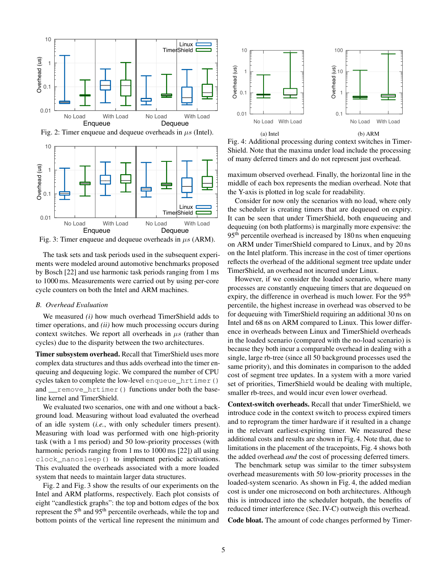<span id="page-4-0"></span>

Fig. 2: Timer enqueue and dequeue overheads in  $\mu s$  (Intel).

<span id="page-4-1"></span>

Fig. 3: Timer enqueue and dequeue overheads in  $\mu s$  (ARM).

The task sets and task periods used in the subsequent experiments were modeled around automotive benchmarks proposed by Bosch [22] and use harmonic task periods ranging from 1 ms to 1000 ms. Measurements were carried out by using per-core cycle counters on both the Intel and ARM machines.

### **B.** Overhead Evaluation

We measured (i) how much overhead TimerShield adds to timer operations, and *(ii)* how much processing occurs during context switches. We report all overheads in  $\mu s$  (rather than cycles) due to the disparity between the two architectures.

**Timer subsystem overhead.** Recall that TimerShield uses more complex data structures and thus adds overhead into the timer enqueuing and dequeuing logic. We compared the number of CPU cycles taken to complete the low-level enqueue\_hrtimer() and \_\_remove\_hrtimer() functions under both the baseline kernel and TimerShield.

We evaluated two scenarios, one with and one without a background load. Measuring without load evaluated the overhead of an idle system (i.e., with only scheduler timers present). Measuring with load was performed with one high-priority task (with a 1 ms period) and 50 low-priority processes (with harmonic periods ranging from 1 ms to 1000 ms [22]) all using clock\_nanosleep() to implement periodic activations. This evaluated the overheads associated with a more loaded system that needs to maintain larger data structures.

Fig. 2 and Fig. 3 show the results of our experiments on the Intel and ARM platforms, respectively. Each plot consists of eight "candlestick graphs": the top and bottom edges of the box represent the 5<sup>th</sup> and 95<sup>th</sup> percentile overheads, while the top and bottom points of the vertical line represent the minimum and

<span id="page-4-2"></span>

Fig. 4: Additional processing during context switches in Timer-Shield. Note that the maxima under load include the processing of many deferred timers and do not represent just overhead.

maximum observed overhead. Finally, the horizontal line in the middle of each box represents the median overhead. Note that the Y-axis is plotted in log scale for readability.

Consider for now only the scenarios with no load, where only the scheduler is creating timers that are dequeued on expiry. It can be seen that under TimerShield, both enqueueing and dequeuing (on both platforms) is marginally more expensive: the  $95<sup>th</sup>$  percentile overhead is increased by 180 ns when enqueuing on ARM under TimerShield compared to Linux, and by 20 ns on the Intel platform. This increase in the cost of timer opertions reflects the overhead of the additional segment tree update under TimerShield, an overhead not incurred under Linux.

However, if we consider the loaded scenario, where many processes are constantly enqueuing timers that are dequeued on expiry, the difference in overhead is much lower. For the 95<sup>th</sup> percentile, the highest increase in overhead was observed to be for dequeuing with TimerShield requiring an additional 30 ns on Intel and 68 ns on ARM compared to Linux. This lower difference in overheads between Linux and TimerShield overheads in the loaded scenario (compared with the no-load scenario) is because they both incur a comparable overhead in dealing with a single, large rb-tree (since all 50 background processes used the same priority), and this dominates in comparison to the added cost of segment tree updates. In a system with a more varied set of priorities, TimerShield would be dealing with multiple, smaller rb-trees, and would incur even lower overhead.

Context-switch overheads. Recall that under TimerShield, we introduce code in the context switch to process expired timers and to reprogram the timer hardware if it resulted in a change in the relevant earliest-expiring timer. We measured these additional costs and results are shown in Fig. 4. Note that, due to limitations in the placement of the tracepoints, Fig. 4 shows both the added overhead and the cost of processing deferred timers.

The benchmark setup was similar to the timer subsystem overhead measurements with 50 low-priority processes in the loaded-system scenario. As shown in Fig. 4, the added median cost is under one microsecond on both architectures. Although this is introduced into the scheduler hotpath, the benefits of reduced timer interference (Sec. IV-C) outweigh this overhead.

Code bloat. The amount of code changes performed by Timer-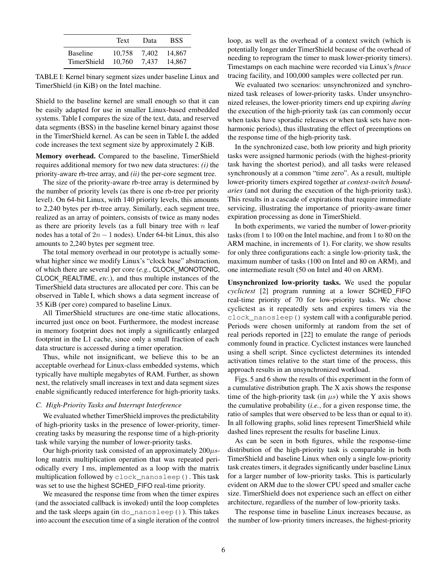<span id="page-5-1"></span>

|             | Text   | Data  | <b>BSS</b> |
|-------------|--------|-------|------------|
| Baseline    | 10.758 | 7.402 | 14.867     |
| TimerShield | 10.760 | 7.437 | 14.867     |

TABLE I: Kernel binary segment sizes under baseline Linux and TimerShield (in KiB) on the Intel machine.

Shield to the baseline kernel are small enough so that it can be easily adapted for use in smaller Linux-based embedded systems. Table [I](#page-5-1) compares the size of the text, data, and reserved data segments (BSS) in the baseline kernel binary against those in the TimerShield kernel. As can be seen in Table [I,](#page-5-1) the added code increases the text segment size by approximately 2 KiB.

Memory overhead. Compared to the baseline, TimerShield requires additional memory for two new data structures: *(i)* the priority-aware rb-tree array, and *(ii)* the per-core segment tree.

The size of the priority-aware rb-tree array is determined by the number of priority levels (as there is one rb-tree per priority level). On 64-bit Linux, with 140 priority levels, this amounts to 2,240 bytes per rb-tree array. Similarly, each segment tree, realized as an array of pointers, consists of twice as many nodes as there are priority levels (as a full binary tree with  $n$  leaf nodes has a total of  $2n - 1$  nodes). Under 64-bit Linux, this also amounts to 2,240 bytes per segment tree.

The total memory overhead in our prototype is actually somewhat higher since we modify Linux's "clock base" abstraction, of which there are several per core (*e.g.*, CLOCK MONOTONIC, CLOCK REALTIME, *etc.*), and thus multiple instances of the TimerShield data structures are allocated per core. This can be observed in Table [I,](#page-5-1) which shows a data segment increase of 35 KiB (per core) compared to baseline Linux.

All TimerShield structures are one-time static allocations, incurred just once on boot. Furthermore, the modest increase in memory footprint does not imply a significantly enlarged footprint in the L1 cache, since only a small fraction of each data structure is accessed during a timer operation.

Thus, while not insignificant, we believe this to be an acceptable overhead for Linux-class embedded systems, which typically have multiple megabytes of RAM. Further, as shown next, the relatively small increases in text and data segment sizes enable significantly reduced interference for high-priority tasks.

## <span id="page-5-0"></span>*C. High-Priority Tasks and Interrupt Interference*

We evaluated whether TimerShield improves the predictability of high-priority tasks in the presence of lower-priority, timercreating tasks by measuring the response time of a high-priority task while varying the number of lower-priority tasks.

Our high-priority task consisted of an approximately  $200\mu s$ long matrix multiplication operation that was repeated periodically every 1 ms, implemented as a loop with the matrix multiplication followed by clock\_nanosleep(). This task was set to use the highest SCHED FIFO real-time priority.

We measured the response time from when the timer expires (and the associated callback is invoked) until the loop completes and the task sleeps again (in do\_nanosleep()). This takes into account the execution time of a single iteration of the control loop, as well as the overhead of a context switch (which is potentially longer under TimerShield because of the overhead of needing to reprogram the timer to mask lower-priority timers). Timestamps on each machine were recorded via Linux's *ftrace* tracing facility, and 100,000 samples were collected per run.

We evaluated two scenarios: unsynchronized and synchronized task releases of lower-priority tasks. Under unsynchronized releases, the lower-priority timers end up expiring *during* the execution of the high-priority task (as can commonly occur when tasks have sporadic releases or when task sets have nonharmonic periods), thus illustrating the effect of preemptions on the response time of the high-priority task.

In the synchronized case, both low priority and high priority tasks were assigned harmonic periods (with the highest-priority task having the shortest period), and all tasks were released synchronously at a common "time zero". As a result, multiple lower-priority timers expired together *at context-switch boundaries* (and not during the execution of the high-priority task). This results in a cascade of expirations that require immediate servicing, illustrating the importance of priority-aware timer expiration processing as done in TimerShield.

In both experiments, we varied the number of lower-priority tasks (from 1 to 100 on the Intel machine, and from 1 to 80 on the ARM machine, in increments of 1). For clarity, we show results for only three configurations each: a single low-priority task, the maximum number of tasks (100 on Intel and 80 on ARM), and one intermediate result (50 on Intel and 40 on ARM).

Unsynchronized low-priority tasks. We used the popular *cyclictest* [\[2\]](#page-9-11) program running at a lower SCHED FIFO real-time priority of 70 for low-priority tasks. We chose cyclictest as it repeatedly sets and expires timers via the clock\_nanosleep() system call with a configurable period. Periods were chosen uniformly at random from the set of real periods reported in [\[22\]](#page-9-10) to emulate the range of periods commonly found in practice. Cyclictest instances were launched using a shell script. Since cyclictest determines its intended activation times relative to the start time of the process, this approach results in an unsynchronized workload.

Figs. [5](#page-6-0) and [6](#page-6-1) show the results of this experiment in the form of a cumulative distribution graph. The X axis shows the response time of the high-priority task (in  $\mu s$ ) while the Y axis shows the cumulative probability (*i.e.*, for a given response time, the ratio of samples that were observed to be less than or equal to it). In all following graphs, solid lines represent TimerShield while dashed lines represent the results for baseline Linux.

As can be seen in both figures, while the response-time distribution of the high-priority task is comparable in both TimerShield and baseline Linux when only a single low-priority task creates timers, it degrades significantly under baseline Linux for a larger number of low-priority tasks. This is particularly evident on ARM due to the slower CPU speed and smaller cache size. TimerShield does not experience such an effect on either architecture, regardless of the number of low-priority tasks.

The response time in baseline Linux increases because, as the number of low-priority timers increases, the highest-priority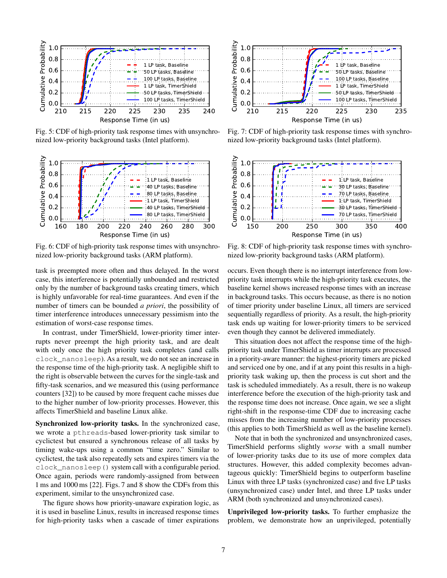<span id="page-6-0"></span>

Fig. 5: CDF of high-priority task response times with unsynchronized low-priority background tasks (Intel platform).

<span id="page-6-1"></span>

Fig. 6: CDF of high-priority task response times with unsynchronized low-priority background tasks (ARM platform).

task is preempted more often and thus delayed. In the worst case, this interference is potentially unbounded and restricted only by the number of background tasks creating timers, which is highly unfavorable for real-time guarantees. And even if the number of timers can be bounded *a priori*, the possibility of timer interference introduces unnecessary pessimism into the estimation of worst-case response times.

In contrast, under TimerShield, lower-priority timer interrupts never preempt the high priority task, and are dealt with only once the high priority task completes (and calls clock\_nanosleep). As a result, we do not see an increase in the response time of the high-priority task. A negligible shift to the right is observable between the curves for the single-task and fifty-task scenarios, and we measured this (using performance counters [\[32\]](#page-9-12)) to be caused by more frequent cache misses due to the higher number of low-priority processes. However, this affects TimerShield and baseline Linux alike.

Synchronized low-priority tasks. In the synchronized case, we wrote a pthreads-based lower-priority task similar to cyclictest but ensured a synchronous release of all tasks by timing wake-ups using a common "time zero." Similar to cyclictest, the task also repeatedly sets and expires timers via the clock\_nanosleep() system call with a configurable period. Once again, periods were randomly-assigned from between 1 ms and 1000 ms [\[22\]](#page-9-10). Figs. [7](#page-6-2) and [8](#page-6-3) show the CDFs from this experiment, similar to the unsynchronized case.

The figure shows how priority-unaware expiration logic, as it is used in baseline Linux, results in increased response times for high-priority tasks when a cascade of timer expirations

<span id="page-6-2"></span>

Fig. 7: CDF of high-priority task response times with synchronized low-priority background tasks (Intel platform).

<span id="page-6-3"></span>

Fig. 8: CDF of high-priority task response times with synchronized low-priority background tasks (ARM platform).

occurs. Even though there is no interrupt interference from lowpriority task interrupts while the high-priority task executes, the baseline kernel shows increased response times with an increase in background tasks. This occurs because, as there is no notion of timer priority under baseline Linux, all timers are serviced sequentially regardless of priority. As a result, the high-priority task ends up waiting for lower-priority timers to be serviced even though they cannot be delivered immediately.

This situation does not affect the response time of the highpriority task under TimerShield as timer interrupts are processed in a priority-aware manner: the highest-priority timers are picked and serviced one by one, and if at any point this results in a highpriority task waking up, then the process is cut short and the task is scheduled immediately. As a result, there is no wakeup interference before the execution of the high-priority task and the response time does not increase. Once again, we see a slight right-shift in the response-time CDF due to increasing cache misses from the increasing number of low-priority processes (this applies to both TimerShield as well as the baseline kernel).

Note that in both the synchronized and unsynchronized cases, TimerShield performs slightly *worse* with a small number of lower-priority tasks due to its use of more complex data structures. However, this added complexity becomes advantageous quickly: TimerShield begins to outperform baseline Linux with three LP tasks (synchronized case) and five LP tasks (unsynchronized case) under Intel, and three LP tasks under ARM (both synchronized and unsynchronized cases).

Unprivileged low-priority tasks. To further emphasize the problem, we demonstrate how an unprivileged, potentially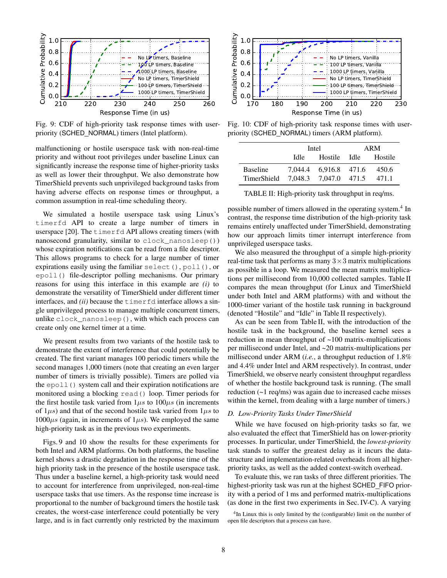<span id="page-7-0"></span>

Fig. 9: CDF of high-priority task response times with userpriority (SCHED\_NORMAL) timers (Intel platform).

malfunctioning or hostile userspace task with non-real-time priority and without root privileges under baseline Linux can significantly increase the response time of higher-priority tasks as well as lower their throughput. We also demonstrate how TimerShield prevents such unprivileged background tasks from having adverse effects on response times or throughput, a common assumption in real-time scheduling theory.

We simulated a hostile userspace task using Linux's timerfd API to create a large number of timers in userspace [\[20\]](#page-9-4). The timerfd API allows creating timers (with nanosecond granularity, similar to clock\_nanosleep()) whose expiration notifications can be read from a file descriptor. This allows programs to check for a large number of timer expirations easily using the familiar select(), poll(), or epoll() file-descriptor polling mechanisms. Our primary reasons for using this interface in this example are *(i)* to demonstrate the versatility of TimerShield under different timer interfaces, and *(ii)* because the timerfd interface allows a single unprivileged process to manage multiple concurrent timers, unlike clock\_nanosleep(), with which each process can create only one kernel timer at a time.

We present results from two variants of the hostile task to demonstrate the extent of interference that could potentially be created. The first variant manages 100 periodic timers while the second manages 1,000 timers (note that creating an even larger number of timers is trivially possible). Timers are polled via the  $epoll()$  system call and their expiration notifications are monitored using a blocking read() loop. Timer periods for the first hostile task varied from  $1\mu s$  to  $100\mu s$  (in increments of  $1\mu s$ ) and that of the second hostile task varied from  $1\mu s$  to  $1000\mu s$  (again, in increments of  $1\mu s$ ). We employed the same high-priority task as in the previous two experiments.

Figs. [9](#page-7-0) and [10](#page-7-1) show the results for these experiments for both Intel and ARM platforms. On both platforms, the baseline kernel shows a drastic degradation in the response time of the high priority task in the presence of the hostile userspace task. Thus under a baseline kernel, a high-priority task would need to account for interference from unprivileged, non-real-time userspace tasks that use timers. As the response time increase is proportional to the number of background timers the hostile task creates, the worst-case interference could potentially be very large, and is in fact currently only restricted by the maximum

<span id="page-7-1"></span>

Fig. 10: CDF of high-priority task response times with userpriority (SCHED\_NORMAL) timers (ARM platform).

<span id="page-7-3"></span>

|                                   | Intel |                       | <b>ARM</b> |         |
|-----------------------------------|-------|-----------------------|------------|---------|
|                                   | Idle. | Hostile Idle          |            | Hostile |
| <b>Baseline</b>                   |       | 7,044.4 6,916.8 471.6 |            | 450.6   |
| TimerShield 7,048.3 7,047.0 471.5 |       |                       |            | 471.1   |

TABLE II: High-priority task throughput in req/ms.

possible number of timers allowed in the operating system.<sup>[4](#page-7-2)</sup> In contrast, the response time distribution of the high-priority task remains entirely unaffected under TimerShield, demonstrating how our approach limits timer interrupt interference from unprivileged userspace tasks.

We also measured the throughput of a simple high-priority real-time task that performs as many  $3 \times 3$  matrix multiplications as possible in a loop. We measured the mean matrix multiplications per millisecond from 10,000 collected samples. Table [II](#page-7-3) compares the mean throughput (for Linux and TimerShield under both Intel and ARM platforms) with and without the 1000-timer variant of the hostile task running in background (denoted "Hostile" and "Idle" in Table [II](#page-7-3) respectively).

As can be seen from Table [II,](#page-7-3) with the introduction of the hostile task in the background, the baseline kernel sees a reduction in mean throughput of ~100 matrix-multiplications per millisecond under Intel, and ~20 matrix-multiplications per millisecond under ARM (*i.e.*, a throughput reduction of 1.8% and 4.4% under Intel and ARM respectively). In contrast, under TimerShield, we observe nearly consistent throughput regardless of whether the hostile background task is running. (The small reduction (~1 req/ms) was again due to increased cache misses within the kernel, from dealing with a large number of timers.)

## *D. Low-Priority Tasks Under TimerShield*

While we have focused on high-priority tasks so far, we also evaluated the effect that TimerShield has on lower-priority processes. In particular, under TimerShield, the *lowest-priority* task stands to suffer the greatest delay as it incurs the datastructure and implementation-related overheads from all higherpriority tasks, as well as the added context-switch overhead.

To evaluate this, we ran tasks of three different priorities. The highest-priority task was run at the highest SCHED FIFO priority with a period of 1 ms and performed matrix-multiplications (as done in the first two experiments in Sec.[IV-C\)](#page-5-0). A varying

<span id="page-7-2"></span><sup>4</sup>In Linux this is only limited by the (configurable) limit on the number of open file descriptors that a process can have.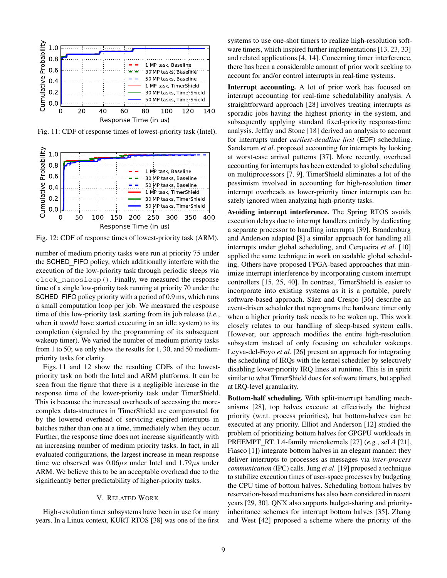<span id="page-8-0"></span>

Fig. 11: CDF of response times of lowest-priority task (Intel).

<span id="page-8-1"></span>

Fig. 12: CDF of response times of lowest-priority task (ARM).

number of medium priority tasks were run at priority 75 under the SCHED FIFO policy, which additionally interfere with the execution of the low-priority task through periodic sleeps via clock\_nanosleep(). Finally, we measured the response time of a single low-priority task running at priority 70 under the SCHED\_FIFO policy priority with a period of 0.9 ms, which runs a small computation loop per job. We measured the response time of this low-priority task starting from its job release (*i.e.*, when it *would* have started executing in an idle system) to its completion (signaled by the programming of its subsequent wakeup timer). We varied the number of medium priority tasks from 1 to 50; we only show the results for 1, 30, and 50 mediumpriority tasks for clarity.

Figs. [11](#page-8-0) and [12](#page-8-1) show the resulting CDFs of the lowestpriority task on both the Intel and ARM platforms. It can be seen from the figure that there is a negligible increase in the response time of the lower-priority task under TimerShield. This is because the increased overheads of accessing the morecomplex data-structures in TimerShield are compensated for by the lowered overhead of servicing expired interrupts in batches rather than one at a time, immediately when they occur. Further, the response time does not increase significantly with an increasing number of medium priority tasks. In fact, in all evaluated configurations, the largest increase in mean response time we observed was  $0.06\mu s$  under Intel and  $1.79\mu s$  under ARM. We believe this to be an acceptable overhead due to the significantly better predictability of higher-priority tasks.

## V. RELATED WORK

High-resolution timer subsystems have been in use for many years. In a Linux context, KURT RTOS [\[38\]](#page-9-6) was one of the first systems to use one-shot timers to realize high-resolution software timers, which inspired further implementations [\[13,](#page-9-0) [23,](#page-9-13) [33\]](#page-9-14) and related applications [\[4,](#page-9-15) [14\]](#page-9-16). Concerning timer interference, there has been a considerable amount of prior work seeking to account for and/or control interrupts in real-time systems.

Interrupt accounting. A lot of prior work has focused on interrupt accounting for real-time schedulability analysis. A straightforward approach [\[28\]](#page-9-17) involves treating interrupts as sporadic jobs having the highest priority in the system, and subsequently applying standard fixed-priority response-time analysis. Jeffay and Stone [\[18\]](#page-9-18) derived an analysis to account for interrupts under *earliest-deadline first* (EDF) scheduling. Sandstrom *et al*. proposed accounting for interrupts by looking at worst-case arrival patterns [\[37\]](#page-9-19). More recently, overhead accounting for interrupts has been extended to global scheduling on multiprocessors [\[7,](#page-9-20) [9\]](#page-9-21). TimerShield eliminates a lot of the pessimism involved in accounting for high-resolution timer interrupt overheads as lower-priority timer interrupts can be safely ignored when analyzing high-priority tasks.

Avoiding interrupt interference. The Spring RTOS avoids execution delays due to interrupt handlers entirely by dedicating a separate processor to handling interrupts [\[39\]](#page-9-22). Brandenburg and Anderson adapted [\[8\]](#page-9-23) a similar approach for handling all interrupts under global scheduling, and Cerqueira *et al*. [\[10\]](#page-9-24) applied the same technique in work on scalable global scheduling. Others have proposed FPGA-based approaches that minimize interrupt interference by incorporating custom interrupt controllers [\[15,](#page-9-25) [25,](#page-9-26) [40\]](#page-9-27). In contrast, TimerShield is easier to incorporate into existing systems as it is a portable, purely software-based approach. Sáez and Crespo [[36\]](#page-9-28) describe an event-driven scheduler that reprograms the hardware timer only when a higher priority task needs to be woken up. This work closely relates to our handling of sleep-based system calls. However, our approach modifies the entire high-resolution subsystem instead of only focusing on scheduler wakeups. Leyva-del-Foyo *et al*. [\[26\]](#page-9-29) present an approach for integrating the scheduling of IRQs with the kernel scheduler by selectively disabling lower-priority IRQ lines at runtime. This is in spirit similar to what TimerShield does for software timers, but applied at IRQ-level granularity.

Bottom-half scheduling. With split-interrupt handling mechanisms [\[28\]](#page-9-17), top halves execute at effectively the highest priority (w.r.t. process priorities), but bottom-halves can be executed at any priority. Elliot and Anderson [\[12\]](#page-9-30) studied the problem of prioritizing bottom halves for GPGPU workloads in PREEMPT\_RT. L4-family microkernels [\[27\]](#page-9-31) (*e.g.*, seL4 [\[21\]](#page-9-32), Fiasco [\[1\]](#page-9-33)) integrate bottom halves in an elegant manner: they deliver interrupts to processes as messages via *inter-process communication* (IPC) calls. Jung *et al*. [\[19\]](#page-9-34) proposed a technique to stabilize execution times of user-space processes by budgeting the CPU time of bottom halves. Scheduling bottom halves by reservation-based mechanisms has also been considered in recent years [\[29,](#page-9-35) [30\]](#page-9-36). QNX also supports budget-sharing and priorityinheritance schemes for interrupt bottom halves [\[35\]](#page-9-37). Zhang and West [\[42\]](#page-9-38) proposed a scheme where the priority of the